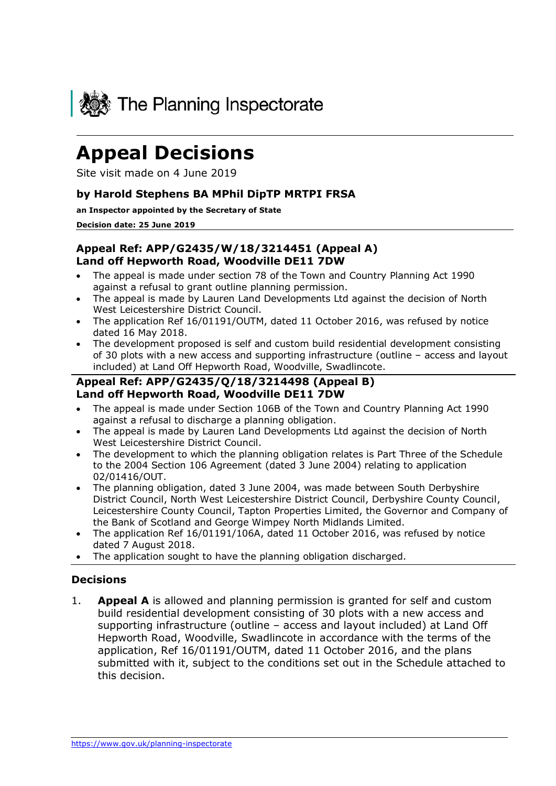

# **Appeal Decisions**

Site visit made on 4 June 2019

#### **by Harold Stephens BA MPhil DipTP MRTPI FRSA**

#### **an Inspector appointed by the Secretary of State**

**Decision date: 25 June 2019**

#### **Appeal Ref: APP/G2435/W/18/3214451 (Appeal A) Land off Hepworth Road, Woodville DE11 7DW**

- The appeal is made under section 78 of the Town and Country Planning Act 1990 against a refusal to grant outline planning permission.
- The appeal is made by Lauren Land Developments Ltd against the decision of North West Leicestershire District Council.
- The application Ref 16/01191/OUTM, dated 11 October 2016, was refused by notice dated 16 May 2018.
- The development proposed is self and custom build residential development consisting of 30 plots with a new access and supporting infrastructure (outline – access and layout included) at Land Off Hepworth Road, Woodville, Swadlincote.

### **Appeal Ref: APP/G2435/Q/18/3214498 (Appeal B) Land off Hepworth Road, Woodville DE11 7DW**

- The appeal is made under Section 106B of the Town and Country Planning Act 1990 against a refusal to discharge a planning obligation.
- The appeal is made by Lauren Land Developments Ltd against the decision of North West Leicestershire District Council.
- The development to which the planning obligation relates is Part Three of the Schedule to the 2004 Section 106 Agreement (dated 3 June 2004) relating to application 02/01416/OUT.
- The planning obligation, dated 3 June 2004, was made between South Derbyshire District Council, North West Leicestershire District Council, Derbyshire County Council, Leicestershire County Council, Tapton Properties Limited, the Governor and Company of the Bank of Scotland and George Wimpey North Midlands Limited.
- The application Ref 16/01191/106A, dated 11 October 2016, was refused by notice dated 7 August 2018.
- The application sought to have the planning obligation discharged.

#### **Decisions**

1. **Appeal A** is allowed and planning permission is granted for self and custom build residential development consisting of 30 plots with a new access and supporting infrastructure (outline – access and layout included) at Land Off Hepworth Road, Woodville, Swadlincote in accordance with the terms of the application, Ref 16/01191/OUTM, dated 11 October 2016, and the plans submitted with it, subject to the conditions set out in the Schedule attached to this decision.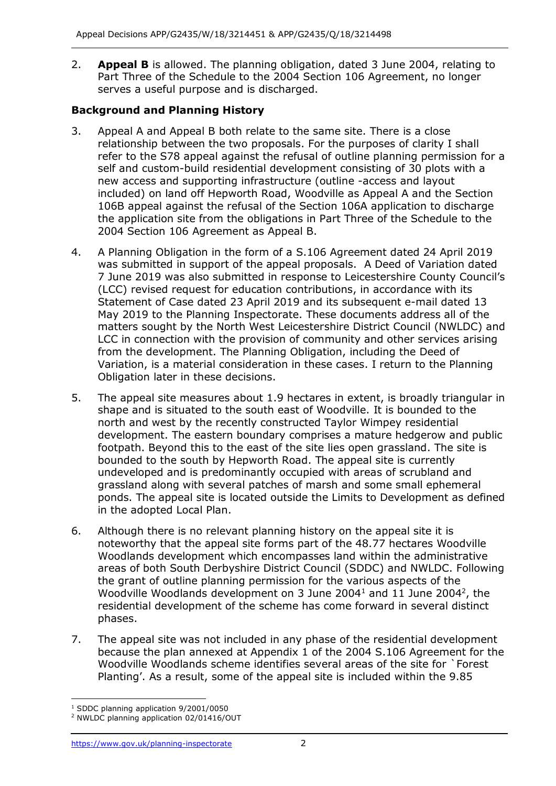2. **Appeal B** is allowed. The planning obligation, dated 3 June 2004, relating to Part Three of the Schedule to the 2004 Section 106 Agreement, no longer serves a useful purpose and is discharged.

# **Background and Planning History**

- 3. Appeal A and Appeal B both relate to the same site. There is a close relationship between the two proposals. For the purposes of clarity I shall refer to the S78 appeal against the refusal of outline planning permission for a self and custom-build residential development consisting of 30 plots with a new access and supporting infrastructure (outline -access and layout included) on land off Hepworth Road, Woodville as Appeal A and the Section 106B appeal against the refusal of the Section 106A application to discharge the application site from the obligations in Part Three of the Schedule to the 2004 Section 106 Agreement as Appeal B.
- 4. A Planning Obligation in the form of a S.106 Agreement dated 24 April 2019 was submitted in support of the appeal proposals. A Deed of Variation dated 7 June 2019 was also submitted in response to Leicestershire County Council's (LCC) revised request for education contributions, in accordance with its Statement of Case dated 23 April 2019 and its subsequent e-mail dated 13 May 2019 to the Planning Inspectorate. These documents address all of the matters sought by the North West Leicestershire District Council (NWLDC) and LCC in connection with the provision of community and other services arising from the development. The Planning Obligation, including the Deed of Variation, is a material consideration in these cases. I return to the Planning Obligation later in these decisions.
- 5. The appeal site measures about 1.9 hectares in extent, is broadly triangular in shape and is situated to the south east of Woodville. It is bounded to the north and west by the recently constructed Taylor Wimpey residential development. The eastern boundary comprises a mature hedgerow and public footpath. Beyond this to the east of the site lies open grassland. The site is bounded to the south by Hepworth Road. The appeal site is currently undeveloped and is predominantly occupied with areas of scrubland and grassland along with several patches of marsh and some small ephemeral ponds. The appeal site is located outside the Limits to Development as defined in the adopted Local Plan.
- 6. Although there is no relevant planning history on the appeal site it is noteworthy that the appeal site forms part of the 48.77 hectares Woodville Woodlands development which encompasses land within the administrative areas of both South Derbyshire District Council (SDDC) and NWLDC. Following the grant of outline planning permission for the various aspects of the Woodville Woodlands development on 3 June 2004 $^1$  and 11 June 2004 $^2$ , the residential development of the scheme has come forward in several distinct phases.
- 7. The appeal site was not included in any phase of the residential development because the plan annexed at Appendix 1 of the 2004 S.106 Agreement for the Woodville Woodlands scheme identifies several areas of the site for `Forest Planting'. As a result, some of the appeal site is included within the 9.85

<sup>-</sup><sup>1</sup> SDDC planning application 9/2001/0050

<sup>2</sup> NWLDC planning application 02/01416/OUT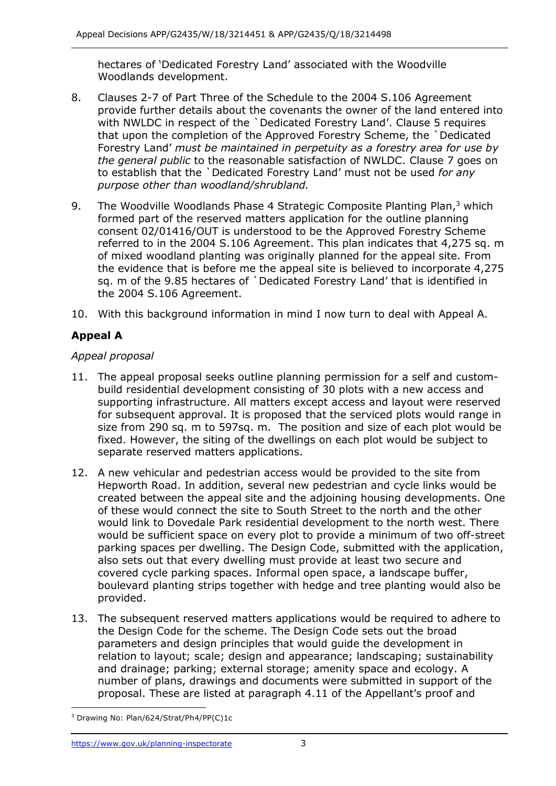hectares of 'Dedicated Forestry Land' associated with the Woodville Woodlands development.

- 8. Clauses 2-7 of Part Three of the Schedule to the 2004 S.106 Agreement provide further details about the covenants the owner of the land entered into with NWLDC in respect of the `Dedicated Forestry Land'. Clause 5 requires that upon the completion of the Approved Forestry Scheme, the `Dedicated Forestry Land' *must be maintained in perpetuity as a forestry area for use by the general public* to the reasonable satisfaction of NWLDC. Clause 7 goes on to establish that the `Dedicated Forestry Land' must not be used *for any purpose other than woodland/shrubland.*
- 9. The Woodville Woodlands Phase 4 Strategic Composite Planting Plan,<sup>3</sup> which formed part of the reserved matters application for the outline planning consent 02/01416/OUT is understood to be the Approved Forestry Scheme referred to in the 2004 S.106 Agreement. This plan indicates that 4,275 sq. m of mixed woodland planting was originally planned for the appeal site. From the evidence that is before me the appeal site is believed to incorporate 4,275 sq. m of the 9.85 hectares of `Dedicated Forestry Land' that is identified in the 2004 S.106 Agreement.
- 10. With this background information in mind I now turn to deal with Appeal A.

# **Appeal A**

## *Appeal proposal*

- 11. The appeal proposal seeks outline planning permission for a self and custombuild residential development consisting of 30 plots with a new access and supporting infrastructure. All matters except access and layout were reserved for subsequent approval. It is proposed that the serviced plots would range in size from 290 sq. m to 597sq. m. The position and size of each plot would be fixed. However, the siting of the dwellings on each plot would be subject to separate reserved matters applications.
- 12. A new vehicular and pedestrian access would be provided to the site from Hepworth Road. In addition, several new pedestrian and cycle links would be created between the appeal site and the adjoining housing developments. One of these would connect the site to South Street to the north and the other would link to Dovedale Park residential development to the north west. There would be sufficient space on every plot to provide a minimum of two off-street parking spaces per dwelling. The Design Code, submitted with the application, also sets out that every dwelling must provide at least two secure and covered cycle parking spaces. Informal open space, a landscape buffer, boulevard planting strips together with hedge and tree planting would also be provided.
- 13. The subsequent reserved matters applications would be required to adhere to the Design Code for the scheme. The Design Code sets out the broad parameters and design principles that would guide the development in relation to layout; scale; design and appearance; landscaping; sustainability and drainage; parking; external storage; amenity space and ecology. A number of plans, drawings and documents were submitted in support of the proposal. These are listed at paragraph 4.11 of the Appellant's proof and

j <sup>3</sup> Drawing No: Plan/624/Strat/Ph4/PP(C)1c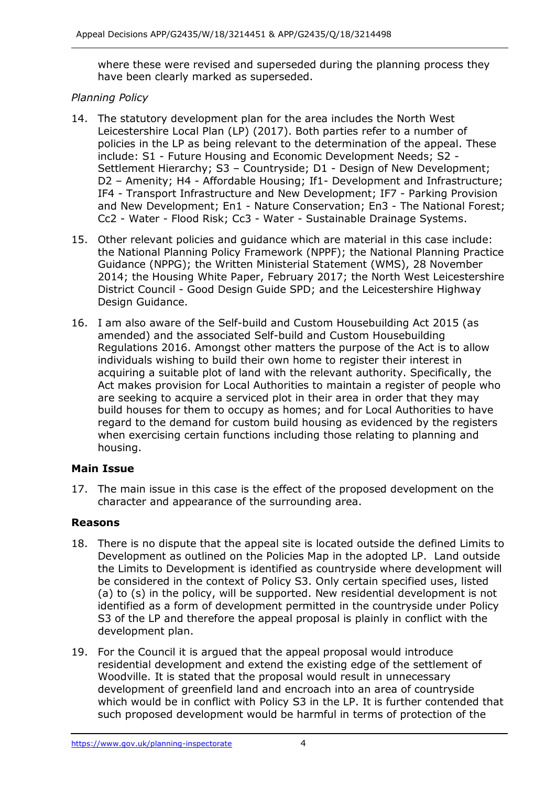where these were revised and superseded during the planning process they have been clearly marked as superseded.

## *Planning Policy*

- 14. The statutory development plan for the area includes the North West Leicestershire Local Plan (LP) (2017). Both parties refer to a number of policies in the LP as being relevant to the determination of the appeal. These include: S1 - Future Housing and Economic Development Needs; S2 - Settlement Hierarchy; S3 – Countryside; D1 - Design of New Development; D2 – Amenity; H4 - Affordable Housing; If1- Development and Infrastructure; IF4 - Transport Infrastructure and New Development; IF7 - Parking Provision and New Development; En1 - Nature Conservation; En3 - The National Forest; Cc2 - Water - Flood Risk; Cc3 - Water - Sustainable Drainage Systems.
- 15. Other relevant policies and guidance which are material in this case include: the National Planning Policy Framework (NPPF); the National Planning Practice Guidance (NPPG); the Written Ministerial Statement (WMS), 28 November 2014; the Housing White Paper, February 2017; the North West Leicestershire District Council - Good Design Guide SPD; and the Leicestershire Highway Design Guidance.
- 16. I am also aware of the Self-build and Custom Housebuilding Act 2015 (as amended) and the associated Self-build and Custom Housebuilding Regulations 2016. Amongst other matters the purpose of the Act is to allow individuals wishing to build their own home to register their interest in acquiring a suitable plot of land with the relevant authority. Specifically, the Act makes provision for Local Authorities to maintain a register of people who are seeking to acquire a serviced plot in their area in order that they may build houses for them to occupy as homes; and for Local Authorities to have regard to the demand for custom build housing as evidenced by the registers when exercising certain functions including those relating to planning and housing.

## **Main Issue**

17. The main issue in this case is the effect of the proposed development on the character and appearance of the surrounding area.

## **Reasons**

- 18. There is no dispute that the appeal site is located outside the defined Limits to Development as outlined on the Policies Map in the adopted LP. Land outside the Limits to Development is identified as countryside where development will be considered in the context of Policy S3. Only certain specified uses, listed (a) to (s) in the policy, will be supported. New residential development is not identified as a form of development permitted in the countryside under Policy S3 of the LP and therefore the appeal proposal is plainly in conflict with the development plan.
- 19. For the Council it is argued that the appeal proposal would introduce residential development and extend the existing edge of the settlement of Woodville. It is stated that the proposal would result in unnecessary development of greenfield land and encroach into an area of countryside which would be in conflict with Policy S3 in the LP. It is further contended that such proposed development would be harmful in terms of protection of the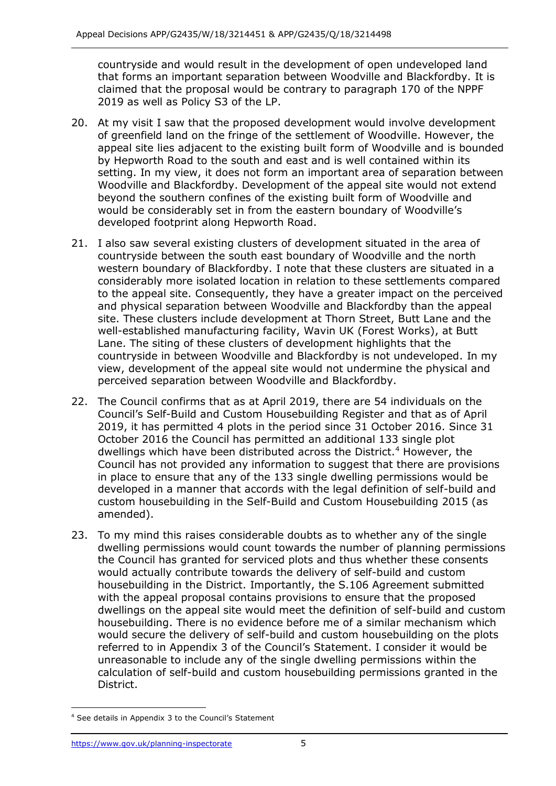countryside and would result in the development of open undeveloped land that forms an important separation between Woodville and Blackfordby. It is claimed that the proposal would be contrary to paragraph 170 of the NPPF 2019 as well as Policy S3 of the LP.

- 20. At my visit I saw that the proposed development would involve development of greenfield land on the fringe of the settlement of Woodville. However, the appeal site lies adjacent to the existing built form of Woodville and is bounded by Hepworth Road to the south and east and is well contained within its setting. In my view, it does not form an important area of separation between Woodville and Blackfordby. Development of the appeal site would not extend beyond the southern confines of the existing built form of Woodville and would be considerably set in from the eastern boundary of Woodville's developed footprint along Hepworth Road.
- 21. I also saw several existing clusters of development situated in the area of countryside between the south east boundary of Woodville and the north western boundary of Blackfordby. I note that these clusters are situated in a considerably more isolated location in relation to these settlements compared to the appeal site. Consequently, they have a greater impact on the perceived and physical separation between Woodville and Blackfordby than the appeal site. These clusters include development at Thorn Street, Butt Lane and the well-established manufacturing facility, Wavin UK (Forest Works), at Butt Lane. The siting of these clusters of development highlights that the countryside in between Woodville and Blackfordby is not undeveloped. In my view, development of the appeal site would not undermine the physical and perceived separation between Woodville and Blackfordby.
- 22. The Council confirms that as at April 2019, there are 54 individuals on the Council's Self-Build and Custom Housebuilding Register and that as of April 2019, it has permitted 4 plots in the period since 31 October 2016. Since 31 October 2016 the Council has permitted an additional 133 single plot dwellings which have been distributed across the District.<sup>4</sup> However, the Council has not provided any information to suggest that there are provisions in place to ensure that any of the 133 single dwelling permissions would be developed in a manner that accords with the legal definition of self-build and custom housebuilding in the Self-Build and Custom Housebuilding 2015 (as amended).
- 23. To my mind this raises considerable doubts as to whether any of the single dwelling permissions would count towards the number of planning permissions the Council has granted for serviced plots and thus whether these consents would actually contribute towards the delivery of self-build and custom housebuilding in the District. Importantly, the S.106 Agreement submitted with the appeal proposal contains provisions to ensure that the proposed dwellings on the appeal site would meet the definition of self-build and custom housebuilding. There is no evidence before me of a similar mechanism which would secure the delivery of self-build and custom housebuilding on the plots referred to in Appendix 3 of the Council's Statement. I consider it would be unreasonable to include any of the single dwelling permissions within the calculation of self-build and custom housebuilding permissions granted in the District.

j <sup>4</sup> See details in Appendix 3 to the Council's Statement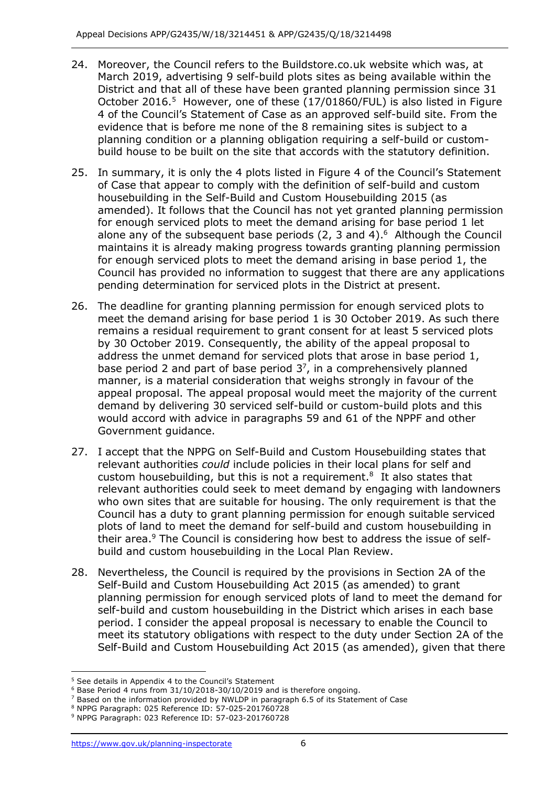- 24. Moreover, the Council refers to the Buildstore.co.uk website which was, at March 2019, advertising 9 self-build plots sites as being available within the District and that all of these have been granted planning permission since 31 October 2016.<sup>5</sup> However, one of these (17/01860/FUL) is also listed in Figure 4 of the Council's Statement of Case as an approved self-build site. From the evidence that is before me none of the 8 remaining sites is subject to a planning condition or a planning obligation requiring a self-build or custombuild house to be built on the site that accords with the statutory definition.
- 25. In summary, it is only the 4 plots listed in Figure 4 of the Council's Statement of Case that appear to comply with the definition of self-build and custom housebuilding in the Self-Build and Custom Housebuilding 2015 (as amended). It follows that the Council has not yet granted planning permission for enough serviced plots to meet the demand arising for base period 1 let alone any of the subsequent base periods (2, 3 and 4). <sup>6</sup> Although the Council maintains it is already making progress towards granting planning permission for enough serviced plots to meet the demand arising in base period 1, the Council has provided no information to suggest that there are any applications pending determination for serviced plots in the District at present.
- 26. The deadline for granting planning permission for enough serviced plots to meet the demand arising for base period 1 is 30 October 2019. As such there remains a residual requirement to grant consent for at least 5 serviced plots by 30 October 2019. Consequently, the ability of the appeal proposal to address the unmet demand for serviced plots that arose in base period 1, base period 2 and part of base period  $3^7$ , in a comprehensively planned manner, is a material consideration that weighs strongly in favour of the appeal proposal. The appeal proposal would meet the majority of the current demand by delivering 30 serviced self-build or custom-build plots and this would accord with advice in paragraphs 59 and 61 of the NPPF and other Government guidance.
- 27. I accept that the NPPG on Self-Build and Custom Housebuilding states that relevant authorities *could* include policies in their local plans for self and custom housebuilding, but this is not a requirement. $8$  It also states that relevant authorities could seek to meet demand by engaging with landowners who own sites that are suitable for housing. The only requirement is that the Council has a duty to grant planning permission for enough suitable serviced plots of land to meet the demand for self-build and custom housebuilding in their area.<sup>9</sup> The Council is considering how best to address the issue of selfbuild and custom housebuilding in the Local Plan Review.
- 28. Nevertheless, the Council is required by the provisions in Section 2A of the Self-Build and Custom Housebuilding Act 2015 (as amended) to grant planning permission for enough serviced plots of land to meet the demand for self-build and custom housebuilding in the District which arises in each base period. I consider the appeal proposal is necessary to enable the Council to meet its statutory obligations with respect to the duty under Section 2A of the Self-Build and Custom Housebuilding Act 2015 (as amended), given that there

 $\overline{a}$ 

<sup>5</sup> See details in Appendix 4 to the Council's Statement

 $6$  Base Period 4 runs from 31/10/2018-30/10/2019 and is therefore ongoing.

<sup>7</sup> Based on the information provided by NWLDP in paragraph 6.5 of its Statement of Case

<sup>8</sup> NPPG Paragraph: 025 Reference ID: 57-025-201760728

<sup>9</sup> NPPG Paragraph: 023 Reference ID: 57-023-201760728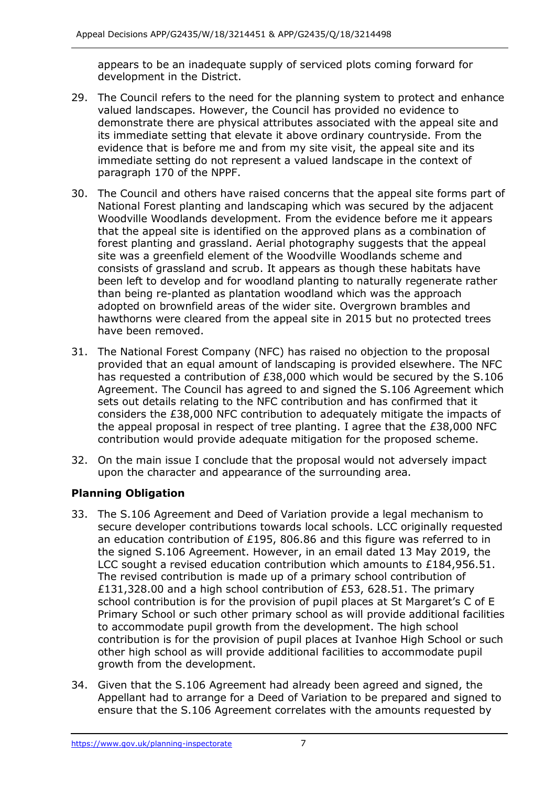appears to be an inadequate supply of serviced plots coming forward for development in the District.

- 29. The Council refers to the need for the planning system to protect and enhance valued landscapes. However, the Council has provided no evidence to demonstrate there are physical attributes associated with the appeal site and its immediate setting that elevate it above ordinary countryside. From the evidence that is before me and from my site visit, the appeal site and its immediate setting do not represent a valued landscape in the context of paragraph 170 of the NPPF.
- 30. The Council and others have raised concerns that the appeal site forms part of National Forest planting and landscaping which was secured by the adjacent Woodville Woodlands development. From the evidence before me it appears that the appeal site is identified on the approved plans as a combination of forest planting and grassland. Aerial photography suggests that the appeal site was a greenfield element of the Woodville Woodlands scheme and consists of grassland and scrub. It appears as though these habitats have been left to develop and for woodland planting to naturally regenerate rather than being re-planted as plantation woodland which was the approach adopted on brownfield areas of the wider site. Overgrown brambles and hawthorns were cleared from the appeal site in 2015 but no protected trees have been removed.
- 31. The National Forest Company (NFC) has raised no objection to the proposal provided that an equal amount of landscaping is provided elsewhere. The NFC has requested a contribution of £38,000 which would be secured by the S.106 Agreement. The Council has agreed to and signed the S.106 Agreement which sets out details relating to the NFC contribution and has confirmed that it considers the £38,000 NFC contribution to adequately mitigate the impacts of the appeal proposal in respect of tree planting. I agree that the  $£38,000$  NFC contribution would provide adequate mitigation for the proposed scheme.
- 32. On the main issue I conclude that the proposal would not adversely impact upon the character and appearance of the surrounding area.

# **Planning Obligation**

- 33. The S.106 Agreement and Deed of Variation provide a legal mechanism to secure developer contributions towards local schools. LCC originally requested an education contribution of £195, 806.86 and this figure was referred to in the signed S.106 Agreement. However, in an email dated 13 May 2019, the LCC sought a revised education contribution which amounts to £184,956.51. The revised contribution is made up of a primary school contribution of £131,328.00 and a high school contribution of £53, 628.51. The primary school contribution is for the provision of pupil places at St Margaret's C of E Primary School or such other primary school as will provide additional facilities to accommodate pupil growth from the development. The high school contribution is for the provision of pupil places at Ivanhoe High School or such other high school as will provide additional facilities to accommodate pupil growth from the development.
- 34. Given that the S.106 Agreement had already been agreed and signed, the Appellant had to arrange for a Deed of Variation to be prepared and signed to ensure that the S.106 Agreement correlates with the amounts requested by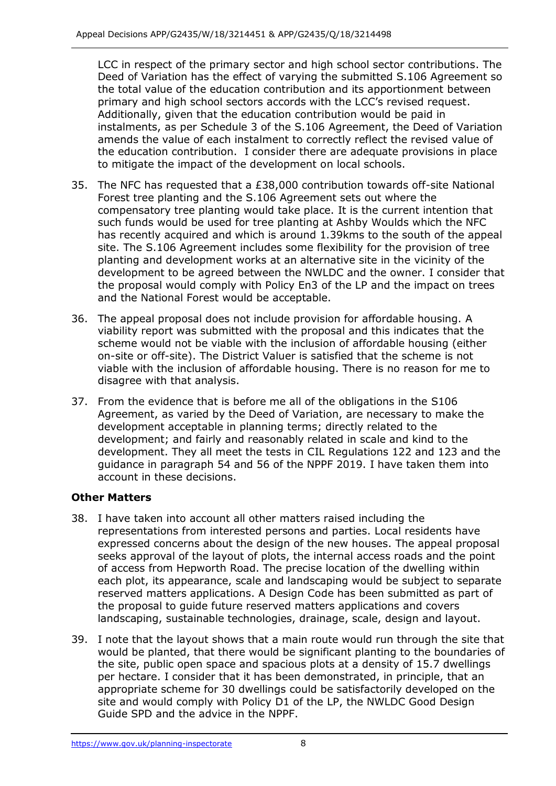LCC in respect of the primary sector and high school sector contributions. The Deed of Variation has the effect of varying the submitted S.106 Agreement so the total value of the education contribution and its apportionment between primary and high school sectors accords with the LCC's revised request. Additionally, given that the education contribution would be paid in instalments, as per Schedule 3 of the S.106 Agreement, the Deed of Variation amends the value of each instalment to correctly reflect the revised value of the education contribution. I consider there are adequate provisions in place to mitigate the impact of the development on local schools.

- 35. The NFC has requested that a £38,000 contribution towards off-site National Forest tree planting and the S.106 Agreement sets out where the compensatory tree planting would take place. It is the current intention that such funds would be used for tree planting at Ashby Woulds which the NFC has recently acquired and which is around 1.39kms to the south of the appeal site. The S.106 Agreement includes some flexibility for the provision of tree planting and development works at an alternative site in the vicinity of the development to be agreed between the NWLDC and the owner. I consider that the proposal would comply with Policy En3 of the LP and the impact on trees and the National Forest would be acceptable.
- 36. The appeal proposal does not include provision for affordable housing. A viability report was submitted with the proposal and this indicates that the scheme would not be viable with the inclusion of affordable housing (either on-site or off-site). The District Valuer is satisfied that the scheme is not viable with the inclusion of affordable housing. There is no reason for me to disagree with that analysis.
- 37. From the evidence that is before me all of the obligations in the S106 Agreement, as varied by the Deed of Variation, are necessary to make the development acceptable in planning terms; directly related to the development; and fairly and reasonably related in scale and kind to the development. They all meet the tests in CIL Regulations 122 and 123 and the guidance in paragraph 54 and 56 of the NPPF 2019. I have taken them into account in these decisions.

# **Other Matters**

- 38. I have taken into account all other matters raised including the representations from interested persons and parties. Local residents have expressed concerns about the design of the new houses. The appeal proposal seeks approval of the layout of plots, the internal access roads and the point of access from Hepworth Road. The precise location of the dwelling within each plot, its appearance, scale and landscaping would be subject to separate reserved matters applications. A Design Code has been submitted as part of the proposal to guide future reserved matters applications and covers landscaping, sustainable technologies, drainage, scale, design and layout.
- 39. I note that the layout shows that a main route would run through the site that would be planted, that there would be significant planting to the boundaries of the site, public open space and spacious plots at a density of 15.7 dwellings per hectare. I consider that it has been demonstrated, in principle, that an appropriate scheme for 30 dwellings could be satisfactorily developed on the site and would comply with Policy D1 of the LP, the NWLDC Good Design Guide SPD and the advice in the NPPF.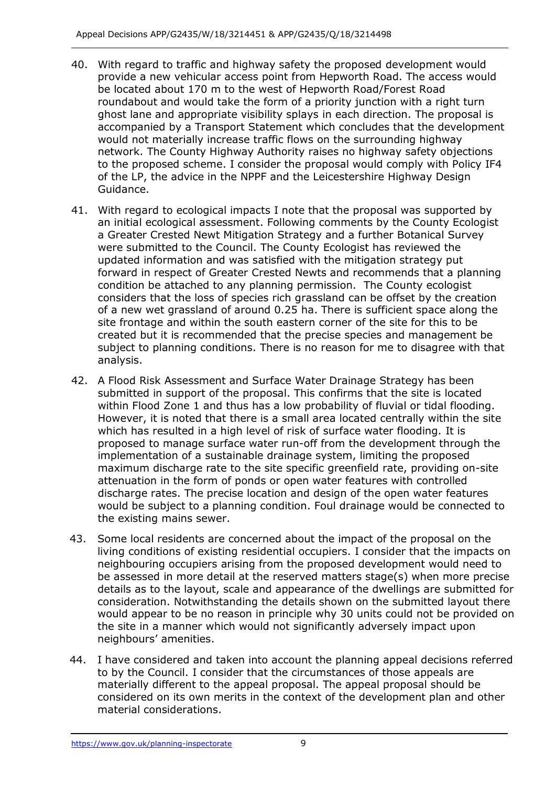- 40. With regard to traffic and highway safety the proposed development would provide a new vehicular access point from Hepworth Road. The access would be located about 170 m to the west of Hepworth Road/Forest Road roundabout and would take the form of a priority junction with a right turn ghost lane and appropriate visibility splays in each direction. The proposal is accompanied by a Transport Statement which concludes that the development would not materially increase traffic flows on the surrounding highway network. The County Highway Authority raises no highway safety objections to the proposed scheme. I consider the proposal would comply with Policy IF4 of the LP, the advice in the NPPF and the Leicestershire Highway Design Guidance.
- 41. With regard to ecological impacts I note that the proposal was supported by an initial ecological assessment. Following comments by the County Ecologist a Greater Crested Newt Mitigation Strategy and a further Botanical Survey were submitted to the Council. The County Ecologist has reviewed the updated information and was satisfied with the mitigation strategy put forward in respect of Greater Crested Newts and recommends that a planning condition be attached to any planning permission. The County ecologist considers that the loss of species rich grassland can be offset by the creation of a new wet grassland of around 0.25 ha. There is sufficient space along the site frontage and within the south eastern corner of the site for this to be created but it is recommended that the precise species and management be subject to planning conditions. There is no reason for me to disagree with that analysis.
- 42. A Flood Risk Assessment and Surface Water Drainage Strategy has been submitted in support of the proposal. This confirms that the site is located within Flood Zone 1 and thus has a low probability of fluvial or tidal flooding. However, it is noted that there is a small area located centrally within the site which has resulted in a high level of risk of surface water flooding. It is proposed to manage surface water run-off from the development through the implementation of a sustainable drainage system, limiting the proposed maximum discharge rate to the site specific greenfield rate, providing on-site attenuation in the form of ponds or open water features with controlled discharge rates. The precise location and design of the open water features would be subject to a planning condition. Foul drainage would be connected to the existing mains sewer.
- 43. Some local residents are concerned about the impact of the proposal on the living conditions of existing residential occupiers. I consider that the impacts on neighbouring occupiers arising from the proposed development would need to be assessed in more detail at the reserved matters stage(s) when more precise details as to the layout, scale and appearance of the dwellings are submitted for consideration. Notwithstanding the details shown on the submitted layout there would appear to be no reason in principle why 30 units could not be provided on the site in a manner which would not significantly adversely impact upon neighbours' amenities.
- 44. I have considered and taken into account the planning appeal decisions referred to by the Council. I consider that the circumstances of those appeals are materially different to the appeal proposal. The appeal proposal should be considered on its own merits in the context of the development plan and other material considerations.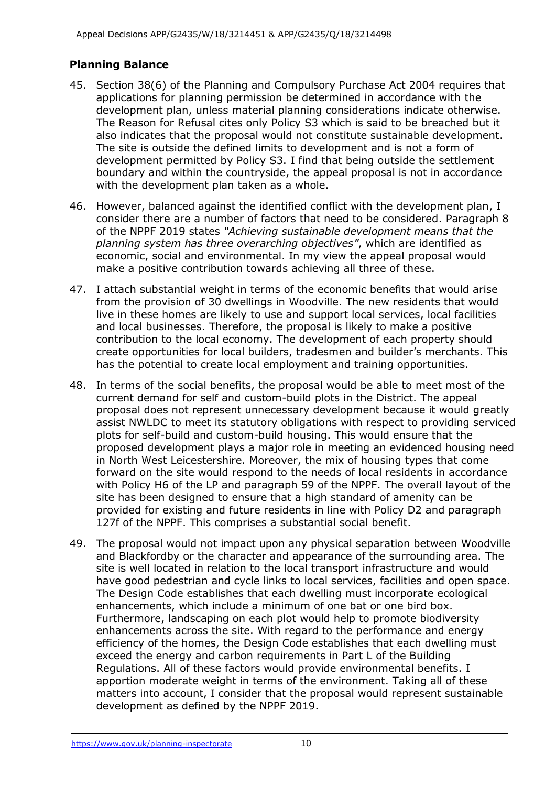### **Planning Balance**

- 45. Section 38(6) of the Planning and Compulsory Purchase Act 2004 requires that applications for planning permission be determined in accordance with the development plan, unless material planning considerations indicate otherwise. The Reason for Refusal cites only Policy S3 which is said to be breached but it also indicates that the proposal would not constitute sustainable development. The site is outside the defined limits to development and is not a form of development permitted by Policy S3. I find that being outside the settlement boundary and within the countryside, the appeal proposal is not in accordance with the development plan taken as a whole.
- 46. However, balanced against the identified conflict with the development plan, I consider there are a number of factors that need to be considered. Paragraph 8 of the NPPF 2019 states *"Achieving sustainable development means that the planning system has three overarching objectives"*, which are identified as economic, social and environmental. In my view the appeal proposal would make a positive contribution towards achieving all three of these.
- 47. I attach substantial weight in terms of the economic benefits that would arise from the provision of 30 dwellings in Woodville. The new residents that would live in these homes are likely to use and support local services, local facilities and local businesses. Therefore, the proposal is likely to make a positive contribution to the local economy. The development of each property should create opportunities for local builders, tradesmen and builder's merchants. This has the potential to create local employment and training opportunities.
- 48. In terms of the social benefits, the proposal would be able to meet most of the current demand for self and custom-build plots in the District. The appeal proposal does not represent unnecessary development because it would greatly assist NWLDC to meet its statutory obligations with respect to providing serviced plots for self-build and custom-build housing. This would ensure that the proposed development plays a major role in meeting an evidenced housing need in North West Leicestershire. Moreover, the mix of housing types that come forward on the site would respond to the needs of local residents in accordance with Policy H6 of the LP and paragraph 59 of the NPPF. The overall layout of the site has been designed to ensure that a high standard of amenity can be provided for existing and future residents in line with Policy D2 and paragraph 127f of the NPPF. This comprises a substantial social benefit.
- 49. The proposal would not impact upon any physical separation between Woodville and Blackfordby or the character and appearance of the surrounding area. The site is well located in relation to the local transport infrastructure and would have good pedestrian and cycle links to local services, facilities and open space. The Design Code establishes that each dwelling must incorporate ecological enhancements, which include a minimum of one bat or one bird box. Furthermore, landscaping on each plot would help to promote biodiversity enhancements across the site. With regard to the performance and energy efficiency of the homes, the Design Code establishes that each dwelling must exceed the energy and carbon requirements in Part L of the Building Regulations. All of these factors would provide environmental benefits. I apportion moderate weight in terms of the environment. Taking all of these matters into account, I consider that the proposal would represent sustainable development as defined by the NPPF 2019.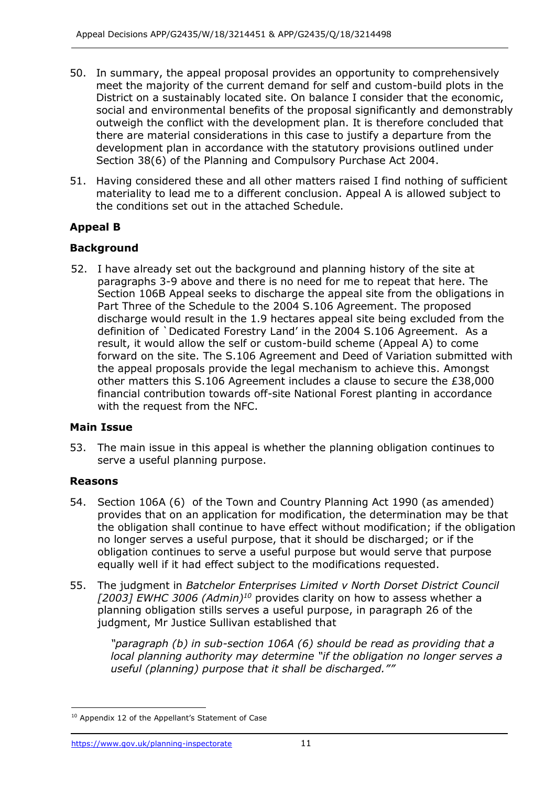- 50. In summary, the appeal proposal provides an opportunity to comprehensively meet the majority of the current demand for self and custom-build plots in the District on a sustainably located site. On balance I consider that the economic, social and environmental benefits of the proposal significantly and demonstrably outweigh the conflict with the development plan. It is therefore concluded that there are material considerations in this case to justify a departure from the development plan in accordance with the statutory provisions outlined under Section 38(6) of the Planning and Compulsory Purchase Act 2004.
- 51. Having considered these and all other matters raised I find nothing of sufficient materiality to lead me to a different conclusion. Appeal A is allowed subject to the conditions set out in the attached Schedule.

## **Appeal B**

### **Background**

52. I have already set out the background and planning history of the site at paragraphs 3-9 above and there is no need for me to repeat that here. The Section 106B Appeal seeks to discharge the appeal site from the obligations in Part Three of the Schedule to the 2004 S.106 Agreement. The proposed discharge would result in the 1.9 hectares appeal site being excluded from the definition of `Dedicated Forestry Land' in the 2004 S.106 Agreement. As a result, it would allow the self or custom-build scheme (Appeal A) to come forward on the site. The S.106 Agreement and Deed of Variation submitted with the appeal proposals provide the legal mechanism to achieve this. Amongst other matters this S.106 Agreement includes a clause to secure the £38,000 financial contribution towards off-site National Forest planting in accordance with the request from the NFC.

#### **Main Issue**

53. The main issue in this appeal is whether the planning obligation continues to serve a useful planning purpose.

#### **Reasons**

j

- 54. Section 106A (6) of the Town and Country Planning Act 1990 (as amended) provides that on an application for modification, the determination may be that the obligation shall continue to have effect without modification; if the obligation no longer serves a useful purpose, that it should be discharged; or if the obligation continues to serve a useful purpose but would serve that purpose equally well if it had effect subject to the modifications requested.
- 55. The judgment in *Batchelor Enterprises Limited v North Dorset District Council [2003] EWHC 3006 (Admin)<sup>10</sup>* provides clarity on how to assess whether a planning obligation stills serves a useful purpose, in paragraph 26 of the judgment, Mr Justice Sullivan established that

*"paragraph (b) in sub-section 106A (6) should be read as providing that a local planning authority may determine "if the obligation no longer serves a useful (planning) purpose that it shall be discharged.""*

<sup>&</sup>lt;sup>10</sup> Appendix 12 of the Appellant's Statement of Case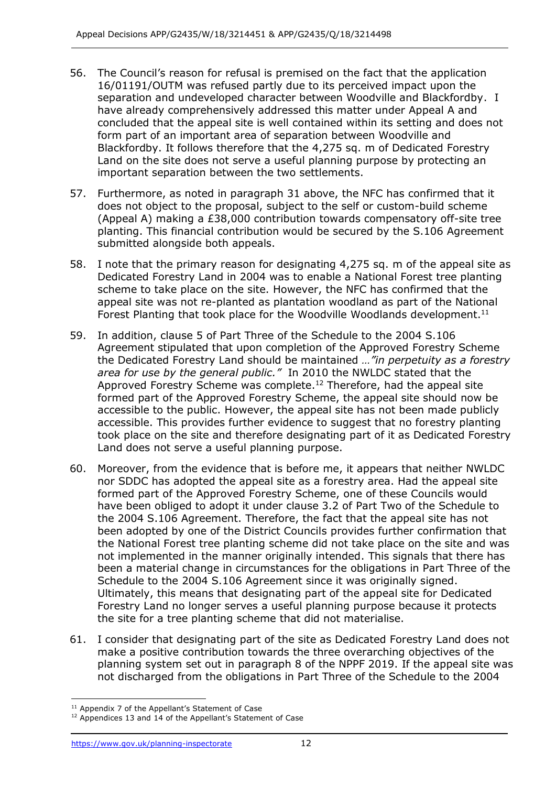- 56. The Council's reason for refusal is premised on the fact that the application 16/01191/OUTM was refused partly due to its perceived impact upon the separation and undeveloped character between Woodville and Blackfordby. I have already comprehensively addressed this matter under Appeal A and concluded that the appeal site is well contained within its setting and does not form part of an important area of separation between Woodville and Blackfordby. It follows therefore that the 4,275 sq. m of Dedicated Forestry Land on the site does not serve a useful planning purpose by protecting an important separation between the two settlements.
- 57. Furthermore, as noted in paragraph 31 above, the NFC has confirmed that it does not object to the proposal, subject to the self or custom-build scheme (Appeal A) making a £38,000 contribution towards compensatory off-site tree planting. This financial contribution would be secured by the S.106 Agreement submitted alongside both appeals.
- 58. I note that the primary reason for designating 4,275 sq. m of the appeal site as Dedicated Forestry Land in 2004 was to enable a National Forest tree planting scheme to take place on the site. However, the NFC has confirmed that the appeal site was not re-planted as plantation woodland as part of the National Forest Planting that took place for the Woodville Woodlands development.<sup>11</sup>
- 59. In addition, clause 5 of Part Three of the Schedule to the 2004 S.106 Agreement stipulated that upon completion of the Approved Forestry Scheme the Dedicated Forestry Land should be maintained *…"in perpetuity as a forestry area for use by the general public."* In 2010 the NWLDC stated that the Approved Forestry Scheme was complete.<sup>12</sup> Therefore, had the appeal site formed part of the Approved Forestry Scheme, the appeal site should now be accessible to the public. However, the appeal site has not been made publicly accessible. This provides further evidence to suggest that no forestry planting took place on the site and therefore designating part of it as Dedicated Forestry Land does not serve a useful planning purpose.
- 60. Moreover, from the evidence that is before me, it appears that neither NWLDC nor SDDC has adopted the appeal site as a forestry area. Had the appeal site formed part of the Approved Forestry Scheme, one of these Councils would have been obliged to adopt it under clause 3.2 of Part Two of the Schedule to the 2004 S.106 Agreement. Therefore, the fact that the appeal site has not been adopted by one of the District Councils provides further confirmation that the National Forest tree planting scheme did not take place on the site and was not implemented in the manner originally intended. This signals that there has been a material change in circumstances for the obligations in Part Three of the Schedule to the 2004 S.106 Agreement since it was originally signed. Ultimately, this means that designating part of the appeal site for Dedicated Forestry Land no longer serves a useful planning purpose because it protects the site for a tree planting scheme that did not materialise.
- 61. I consider that designating part of the site as Dedicated Forestry Land does not make a positive contribution towards the three overarching objectives of the planning system set out in paragraph 8 of the NPPF 2019. If the appeal site was not discharged from the obligations in Part Three of the Schedule to the 2004

<sup>-</sup> $11$  Appendix 7 of the Appellant's Statement of Case

<sup>&</sup>lt;sup>12</sup> Appendices 13 and 14 of the Appellant's Statement of Case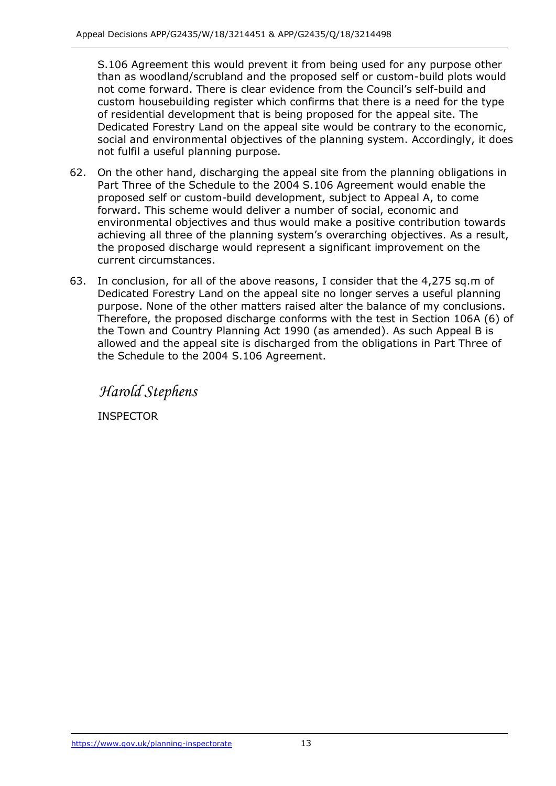S.106 Agreement this would prevent it from being used for any purpose other than as woodland/scrubland and the proposed self or custom-build plots would not come forward. There is clear evidence from the Council's self-build and custom housebuilding register which confirms that there is a need for the type of residential development that is being proposed for the appeal site. The Dedicated Forestry Land on the appeal site would be contrary to the economic, social and environmental objectives of the planning system. Accordingly, it does not fulfil a useful planning purpose.

- 62. On the other hand, discharging the appeal site from the planning obligations in Part Three of the Schedule to the 2004 S.106 Agreement would enable the proposed self or custom-build development, subject to Appeal A, to come forward. This scheme would deliver a number of social, economic and environmental objectives and thus would make a positive contribution towards achieving all three of the planning system's overarching objectives. As a result, the proposed discharge would represent a significant improvement on the current circumstances.
- 63. In conclusion, for all of the above reasons, I consider that the 4,275 sq.m of Dedicated Forestry Land on the appeal site no longer serves a useful planning purpose. None of the other matters raised alter the balance of my conclusions. Therefore, the proposed discharge conforms with the test in Section 106A (6) of the Town and Country Planning Act 1990 (as amended). As such Appeal B is allowed and the appeal site is discharged from the obligations in Part Three of the Schedule to the 2004 S.106 Agreement.

*Harold Stephens*

INSPECTOR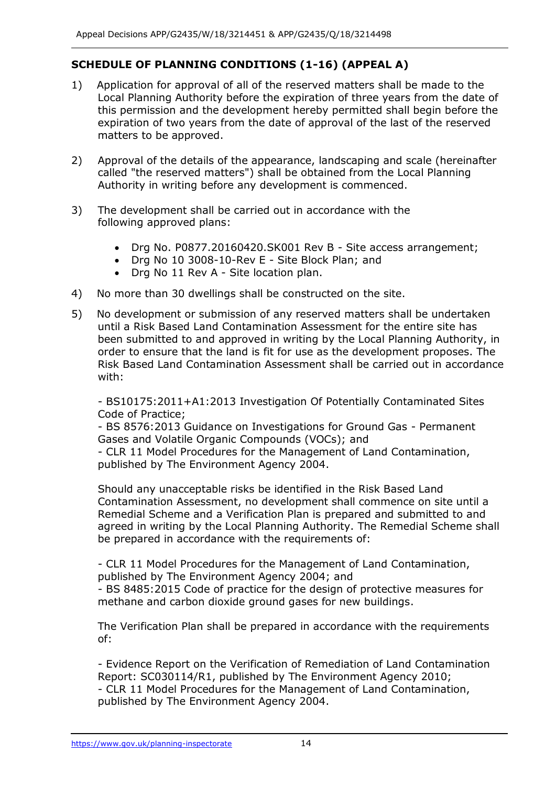# **SCHEDULE OF PLANNING CONDITIONS (1-16) (APPEAL A)**

- 1) Application for approval of all of the reserved matters shall be made to the Local Planning Authority before the expiration of three years from the date of this permission and the development hereby permitted shall begin before the expiration of two years from the date of approval of the last of the reserved matters to be approved.
- 2) Approval of the details of the appearance, landscaping and scale (hereinafter called "the reserved matters") shall be obtained from the Local Planning Authority in writing before any development is commenced.
- 3) The development shall be carried out in accordance with the following approved plans:
	- Drg No. P0877.20160420.SK001 Rev B Site access arrangement;
	- Drg No 10 3008-10-Rev E Site Block Plan; and
	- Drg No 11 Rev A Site location plan.
- 4) No more than 30 dwellings shall be constructed on the site.
- 5) No development or submission of any reserved matters shall be undertaken until a Risk Based Land Contamination Assessment for the entire site has been submitted to and approved in writing by the Local Planning Authority, in order to ensure that the land is fit for use as the development proposes. The Risk Based Land Contamination Assessment shall be carried out in accordance with:

- BS10175:2011+A1:2013 Investigation Of Potentially Contaminated Sites Code of Practice;

- BS 8576:2013 Guidance on Investigations for Ground Gas - Permanent Gases and Volatile Organic Compounds (VOCs); and

- CLR 11 Model Procedures for the Management of Land Contamination, published by The Environment Agency 2004.

Should any unacceptable risks be identified in the Risk Based Land Contamination Assessment, no development shall commence on site until a Remedial Scheme and a Verification Plan is prepared and submitted to and agreed in writing by the Local Planning Authority. The Remedial Scheme shall be prepared in accordance with the requirements of:

- CLR 11 Model Procedures for the Management of Land Contamination, published by The Environment Agency 2004; and

- BS 8485:2015 Code of practice for the design of protective measures for methane and carbon dioxide ground gases for new buildings.

The Verification Plan shall be prepared in accordance with the requirements of:

- Evidence Report on the Verification of Remediation of Land Contamination Report: SC030114/R1, published by The Environment Agency 2010; - CLR 11 Model Procedures for the Management of Land Contamination, published by The Environment Agency 2004.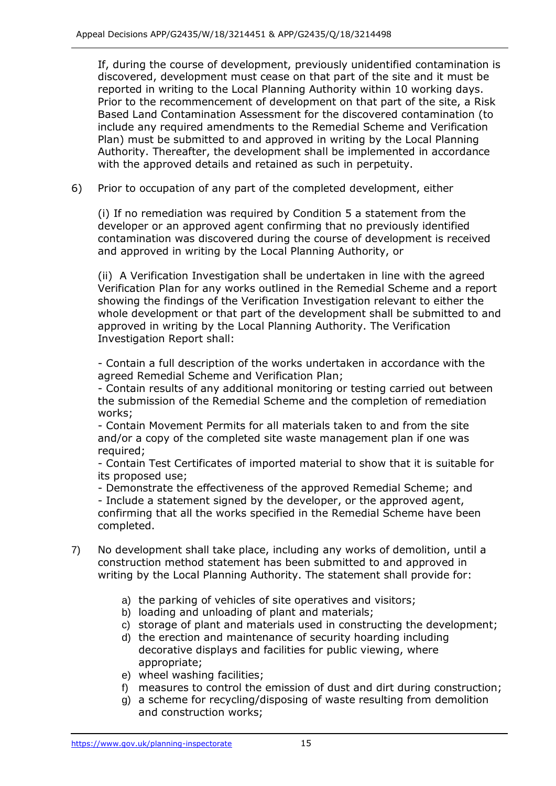If, during the course of development, previously unidentified contamination is discovered, development must cease on that part of the site and it must be reported in writing to the Local Planning Authority within 10 working days. Prior to the recommencement of development on that part of the site, a Risk Based Land Contamination Assessment for the discovered contamination (to include any required amendments to the Remedial Scheme and Verification Plan) must be submitted to and approved in writing by the Local Planning Authority. Thereafter, the development shall be implemented in accordance with the approved details and retained as such in perpetuity.

6) Prior to occupation of any part of the completed development, either

(i) If no remediation was required by Condition 5 a statement from the developer or an approved agent confirming that no previously identified contamination was discovered during the course of development is received and approved in writing by the Local Planning Authority, or

(ii) A Verification Investigation shall be undertaken in line with the agreed Verification Plan for any works outlined in the Remedial Scheme and a report showing the findings of the Verification Investigation relevant to either the whole development or that part of the development shall be submitted to and approved in writing by the Local Planning Authority. The Verification Investigation Report shall:

- Contain a full description of the works undertaken in accordance with the agreed Remedial Scheme and Verification Plan;

- Contain results of any additional monitoring or testing carried out between the submission of the Remedial Scheme and the completion of remediation works;

- Contain Movement Permits for all materials taken to and from the site and/or a copy of the completed site waste management plan if one was required;

- Contain Test Certificates of imported material to show that it is suitable for its proposed use;

- Demonstrate the effectiveness of the approved Remedial Scheme; and

- Include a statement signed by the developer, or the approved agent, confirming that all the works specified in the Remedial Scheme have been completed.

- 7) No development shall take place, including any works of demolition, until a construction method statement has been submitted to and approved in writing by the Local Planning Authority. The statement shall provide for:
	- a) the parking of vehicles of site operatives and visitors;
	- b) loading and unloading of plant and materials;
	- c) storage of plant and materials used in constructing the development;
	- d) the erection and maintenance of security hoarding including decorative displays and facilities for public viewing, where appropriate;
	- e) wheel washing facilities;
	- f) measures to control the emission of dust and dirt during construction;
	- g) a scheme for recycling/disposing of waste resulting from demolition and construction works;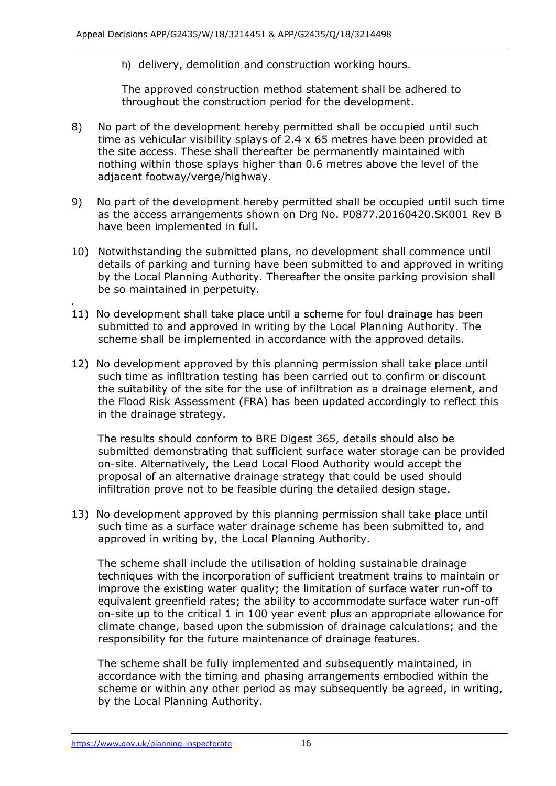h) delivery, demolition and construction working hours.

The approved construction method statement shall be adhered to throughout the construction period for the development.

- 8) No part of the development hereby permitted shall be occupied until such time as vehicular visibility splays of 2.4 x 65 metres have been provided at the site access. These shall thereafter be permanently maintained with nothing within those splays higher than 0.6 metres above the level of the adjacent footway/verge/highway.
- 9) No part of the development hereby permitted shall be occupied until such time as the access arrangements shown on Drg No. P0877.20160420.SK001 Rev B have been implemented in full.
- 10) Notwithstanding the submitted plans, no development shall commence until details of parking and turning have been submitted to and approved in writing by the Local Planning Authority. Thereafter the onsite parking provision shall be so maintained in perpetuity.
- *.* 11) No development shall take place until a scheme for foul drainage has been submitted to and approved in writing by the Local Planning Authority. The scheme shall be implemented in accordance with the approved details.
- 12) No development approved by this planning permission shall take place until such time as infiltration testing has been carried out to confirm or discount the suitability of the site for the use of infiltration as a drainage element, and the Flood Risk Assessment (FRA) has been updated accordingly to reflect this in the drainage strategy.

The results should conform to BRE Digest 365, details should also be submitted demonstrating that sufficient surface water storage can be provided on-site. Alternatively, the Lead Local Flood Authority would accept the proposal of an alternative drainage strategy that could be used should infiltration prove not to be feasible during the detailed design stage.

13) No development approved by this planning permission shall take place until such time as a surface water drainage scheme has been submitted to, and approved in writing by, the Local Planning Authority.

The scheme shall include the utilisation of holding sustainable drainage techniques with the incorporation of sufficient treatment trains to maintain or improve the existing water quality; the limitation of surface water run-off to equivalent greenfield rates; the ability to accommodate surface water run-off on-site up to the critical 1 in 100 year event plus an appropriate allowance for climate change, based upon the submission of drainage calculations; and the responsibility for the future maintenance of drainage features.

The scheme shall be fully implemented and subsequently maintained, in accordance with the timing and phasing arrangements embodied within the scheme or within any other period as may subsequently be agreed, in writing, by the Local Planning Authority.